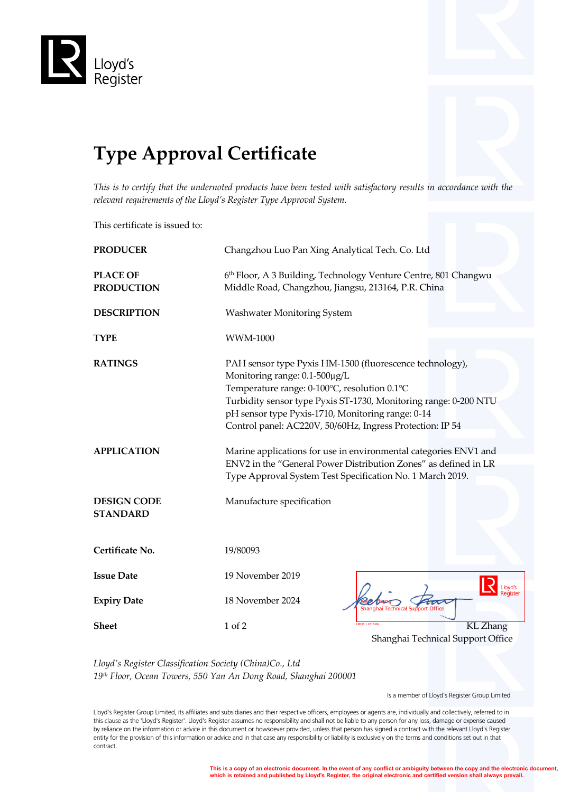

## **Type Approval Certificate**

*This is to certify that the undernoted products have been tested with satisfactory results in accordance with the relevant requirements of the Lloyd's Register Type Approval System.*

This certificate is issued to:

| <b>PRODUCER</b>                       | Changzhou Luo Pan Xing Analytical Tech. Co. Ltd                                                                                                                                                                                                                                                                                 |  |  |
|---------------------------------------|---------------------------------------------------------------------------------------------------------------------------------------------------------------------------------------------------------------------------------------------------------------------------------------------------------------------------------|--|--|
| <b>PLACE OF</b><br><b>PRODUCTION</b>  | 6th Floor, A 3 Building, Technology Venture Centre, 801 Changwu<br>Middle Road, Changzhou, Jiangsu, 213164, P.R. China                                                                                                                                                                                                          |  |  |
| <b>DESCRIPTION</b>                    | Washwater Monitoring System                                                                                                                                                                                                                                                                                                     |  |  |
| <b>TYPE</b>                           | <b>WWM-1000</b>                                                                                                                                                                                                                                                                                                                 |  |  |
| <b>RATINGS</b>                        | PAH sensor type Pyxis HM-1500 (fluorescence technology),<br>Monitoring range: 0.1-500µg/L<br>Temperature range: 0-100°C, resolution 0.1°C<br>Turbidity sensor type Pyxis ST-1730, Monitoring range: 0-200 NTU<br>pH sensor type Pyxis-1710, Monitoring range: 0-14<br>Control panel: AC220V, 50/60Hz, Ingress Protection: IP 54 |  |  |
| <b>APPLICATION</b>                    | Marine applications for use in environmental categories ENV1 and<br>ENV2 in the "General Power Distribution Zones" as defined in LR                                                                                                                                                                                             |  |  |
|                                       | Type Approval System Test Specification No. 1 March 2019.                                                                                                                                                                                                                                                                       |  |  |
| <b>DESIGN CODE</b><br><b>STANDARD</b> | Manufacture specification                                                                                                                                                                                                                                                                                                       |  |  |
| Certificate No.                       | 19/80093                                                                                                                                                                                                                                                                                                                        |  |  |
| <b>Issue Date</b>                     | 19 November 2019                                                                                                                                                                                                                                                                                                                |  |  |
| <b>Expiry Date</b>                    | 18 November 2024<br><b>Shanghai Technical Support Office</b>                                                                                                                                                                                                                                                                    |  |  |
| <b>Sheet</b>                          | <b>KL</b> Zhang<br>1 of 2                                                                                                                                                                                                                                                                                                       |  |  |
|                                       | Shanghai Technical Support Office                                                                                                                                                                                                                                                                                               |  |  |

*Lloyd's Register Classification Society (China)Co., Ltd 19th Floor, Ocean Towers, 550 Yan An Dong Road, Shanghai 200001*

Is a member of Lloyd's Register Group Limited

Lloyd's Register Group Limited, its affiliates and subsidiaries and their respective officers, employees or agents are, individually and collectively, referred to in this clause as the 'Lloyd's Register'. Lloyd's Register assumes no responsibility and shall not be liable to any person for any loss, damage or expense caused by reliance on the information or advice in this document or howsoever provided, unless that person has signed a contract with the relevant Lloyd's Register entity for the provision of this information or advice and in that case any responsibility or liability is exclusively on the terms and conditions set out in that contract.